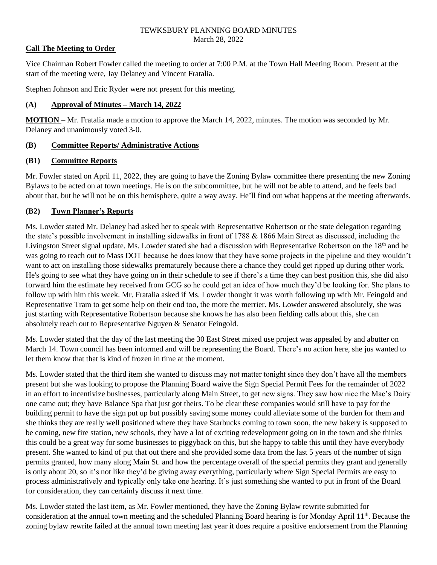## **Call The Meeting to Order**

Vice Chairman Robert Fowler called the meeting to order at 7:00 P.M. at the Town Hall Meeting Room. Present at the start of the meeting were, Jay Delaney and Vincent Fratalia.

Stephen Johnson and Eric Ryder were not present for this meeting.

### **(A) Approval of Minutes – March 14, 2022**

**MOTION –** Mr. Fratalia made a motion to approve the March 14, 2022, minutes. The motion was seconded by Mr. Delaney and unanimously voted 3-0.

## **(B) Committee Reports/ Administrative Actions**

### **(B1) Committee Reports**

Mr. Fowler stated on April 11, 2022, they are going to have the Zoning Bylaw committee there presenting the new Zoning Bylaws to be acted on at town meetings. He is on the subcommittee, but he will not be able to attend, and he feels bad about that, but he will not be on this hemisphere, quite a way away. He'll find out what happens at the meeting afterwards.

## **(B2) Town Planner's Reports**

Ms. Lowder stated Mr. Delaney had asked her to speak with Representative Robertson or the state delegation regarding the state's possible involvement in installing sidewalks in front of 1788 & 1866 Main Street as discussed, including the Livingston Street signal update. Ms. Lowder stated she had a discussion with Representative Robertson on the 18<sup>th</sup> and he was going to reach out to Mass DOT because he does know that they have some projects in the pipeline and they wouldn't want to act on installing those sidewalks prematurely because there a chance they could get ripped up during other work. He's going to see what they have going on in their schedule to see if there's a time they can best position this, she did also forward him the estimate hey received from GCG so he could get an idea of how much they'd be looking for. She plans to follow up with him this week. Mr. Fratalia asked if Ms. Lowder thought it was worth following up with Mr. Feingold and Representative Tram to get some help on their end too, the more the merrier. Ms. Lowder answered absolutely, she was just starting with Representative Robertson because she knows he has also been fielding calls about this, she can absolutely reach out to Representative Nguyen & Senator Feingold.

Ms. Lowder stated that the day of the last meeting the 30 East Street mixed use project was appealed by and abutter on March 14. Town council has been informed and will be representing the Board. There's no action here, she jus wanted to let them know that that is kind of frozen in time at the moment.

Ms. Lowder stated that the third item she wanted to discuss may not matter tonight since they don't have all the members present but she was looking to propose the Planning Board waive the Sign Special Permit Fees for the remainder of 2022 in an effort to incentivize businesses, particularly along Main Street, to get new signs. They saw how nice the Mac's Dairy one came out; they have Balance Spa that just got theirs. To be clear these companies would still have to pay for the building permit to have the sign put up but possibly saving some money could alleviate some of the burden for them and she thinks they are really well positioned where they have Starbucks coming to town soon, the new bakery is supposed to be coming, new fire station, new schools, they have a lot of exciting redevelopment going on in the town and she thinks this could be a great way for some businesses to piggyback on this, but she happy to table this until they have everybody present. She wanted to kind of put that out there and she provided some data from the last 5 years of the number of sign permits granted, how many along Main St. and how the percentage overall of the special permits they grant and generally is only about 20, so it's not like they'd be giving away everything, particularly where Sign Special Permits are easy to process administratively and typically only take one hearing. It's just something she wanted to put in front of the Board for consideration, they can certainly discuss it next time.

Ms. Lowder stated the last item, as Mr. Fowler mentioned, they have the Zoning Bylaw rewrite submitted for consideration at the annual town meeting and the scheduled Planning Board hearing is for Monday April 11th. Because the zoning bylaw rewrite failed at the annual town meeting last year it does require a positive endorsement from the Planning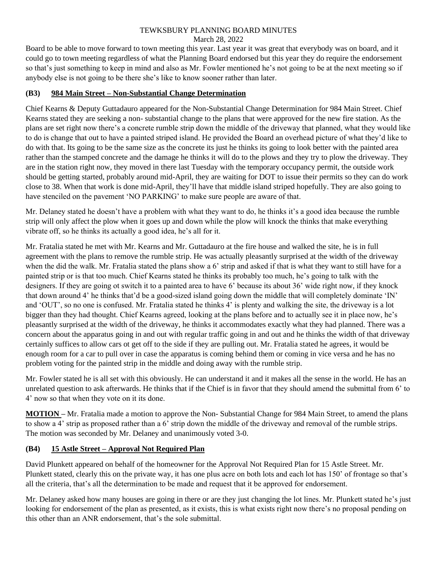Board to be able to move forward to town meeting this year. Last year it was great that everybody was on board, and it could go to town meeting regardless of what the Planning Board endorsed but this year they do require the endorsement so that's just something to keep in mind and also as Mr. Fowler mentioned he's not going to be at the next meeting so if anybody else is not going to be there she's like to know sooner rather than later.

## **(B3) 984 Main Street – Non-Substantial Change Determination**

Chief Kearns & Deputy Guttadauro appeared for the Non-Substantial Change Determination for 984 Main Street. Chief Kearns stated they are seeking a non- substantial change to the plans that were approved for the new fire station. As the plans are set right now there's a concrete rumble strip down the middle of the driveway that planned, what they would like to do is change that out to have a painted striped island. He provided the Board an overhead picture of what they'd like to do with that. Its going to be the same size as the concrete its just he thinks its going to look better with the painted area rather than the stamped concrete and the damage he thinks it will do to the plows and they try to plow the driveway. They are in the station right now, they moved in there last Tuesday with the temporary occupancy permit, the outside work should be getting started, probably around mid-April, they are waiting for DOT to issue their permits so they can do work close to 38. When that work is done mid-April, they'll have that middle island striped hopefully. They are also going to have stenciled on the pavement 'NO PARKING' to make sure people are aware of that.

Mr. Delaney stated he doesn't have a problem with what they want to do, he thinks it's a good idea because the rumble strip will only affect the plow when it goes up and down while the plow will knock the thinks that make everything vibrate off, so he thinks its actually a good idea, he's all for it.

Mr. Fratalia stated he met with Mr. Kearns and Mr. Guttadauro at the fire house and walked the site, he is in full agreement with the plans to remove the rumble strip. He was actually pleasantly surprised at the width of the driveway when the did the walk. Mr. Fratalia stated the plans show a 6' strip and asked if that is what they want to still have for a painted strip or is that too much. Chief Kearns stated he thinks its probably too much, he's going to talk with the designers. If they are going ot switch it to a painted area to have 6' because its about 36' wide right now, if they knock that down around 4' he thinks that'd be a good-sized island going down the middle that will completely dominate 'IN' and 'OUT', so no one is confused. Mr. Fratalia stated he thinks 4' is plenty and walking the site, the driveway is a lot bigger than they had thought. Chief Kearns agreed, looking at the plans before and to actually see it in place now, he's pleasantly surprised at the width of the driveway, he thinks it accommodates exactly what they had planned. There was a concern about the apparatus going in and out with regular traffic going in and out and he thinks the width of that driveway certainly suffices to allow cars ot get off to the side if they are pulling out. Mr. Fratalia stated he agrees, it would be enough room for a car to pull over in case the apparatus is coming behind them or coming in vice versa and he has no problem voting for the painted strip in the middle and doing away with the rumble strip.

Mr. Fowler stated he is all set with this obviously. He can understand it and it makes all the sense in the world. He has an unrelated question to ask afterwards. He thinks that if the Chief is in favor that they should amend the submittal from 6' to 4' now so that when they vote on it its done.

**MOTION –** Mr. Fratalia made a motion to approve the Non- Substantial Change for 984 Main Street, to amend the plans to show a 4' strip as proposed rather than a 6' strip down the middle of the driveway and removal of the rumble strips. The motion was seconded by Mr. Delaney and unanimously voted 3-0.

## **(B4) 15 Astle Street – Approval Not Required Plan**

David Plunkett appeared on behalf of the homeowner for the Approval Not Required Plan for 15 Astle Street. Mr. Plunkett stated, clearly this on the private way, it has one plus acre on both lots and each lot has 150' of frontage so that's all the criteria, that's all the determination to be made and request that it be approved for endorsement.

Mr. Delaney asked how many houses are going in there or are they just changing the lot lines. Mr. Plunkett stated he's just looking for endorsement of the plan as presented, as it exists, this is what exists right now there's no proposal pending on this other than an ANR endorsement, that's the sole submittal.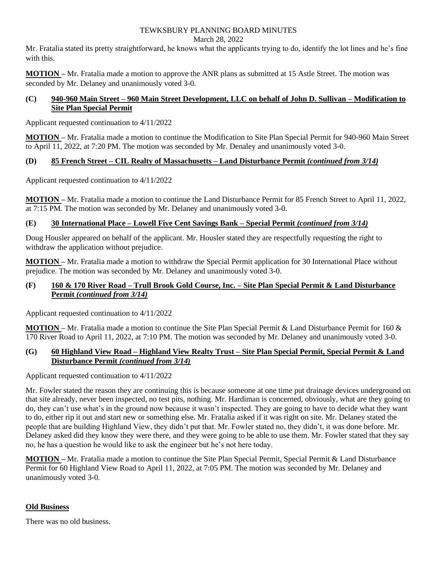Mr. Fratalia stated its pretty straightforward, he knows what the applicants trying to do, identify the lot lines and he's fine with this.

**MOTION –** Mr. Fratalia made a motion to approve the ANR plans as submitted at 15 Astle Street. The motion was seconded by Mr. Delaney and unanimously voted 3-0.

## **(C) 940-960 Main Street – 960 Main Street Development, LLC on behalf of John D. Sullivan – Modification to Site Plan Special Permit**

Applicant requested continuation to 4/11/2022

**MOTION –** Mr. Fratalia made a motion to continue the Modification to Site Plan Special Permit for 940-960 Main Street to April 11, 2022, at 7:20 PM. The motion was seconded by Mr. Denaley and unanimously voted 3-0.

# **(D) 85 French Street – CIL Realty of Massachusetts – Land Disturbance Permit** *(continued from 3/14)*

Applicant requested continuation to 4/11/2022

**MOTION –** Mr. Fratalia made a motion to continue the Land Disturbance Permit for 85 French Street to April 11, 2022, at 7:15 PM. The motion was seconded by Mr. Delaney and unanimously voted 3-0.

# **(E) 30 International Place – Lowell Five Cent Savings Bank – Special Permit** *(continued from 3/14)*

Doug Housler appeared on behalf of the applicant. Mr. Housler stated they are respectfully requesting the right to withdraw the application without prejudice.

**MOTION –** Mr. Fratalia made a motion to withdraw the Special Permit application for 30 International Place without prejudice. The motion was seconded by Mr. Delaney and unanimously voted 3-0.

## **(F) 160 & 170 River Road – Trull Brook Gold Course, Inc. – Site Plan Special Permit & Land Disturbance Permit** *(continued from 3/14)*

Applicant requested continuation to 4/11/2022

**MOTION –** Mr. Fratalia made a motion to continue the Site Plan Special Permit & Land Disturbance Permit for 160 & 170 River Road to April 11, 2022, at 7:10 PM. The motion was seconded by Mr. Delaney and unanimously voted 3-0.

# **(G) 60 Highland View Road – Highland View Realty Trust – Site Plan Special Permit, Special Permit & Land Disturbance Permit** *(continued from 3/14)*

Applicant requested continuation to 4/11/2022

Mr. Fowler stated the reason they are continuing this is because someone at one time put drainage devices underground on that site already, never been inspected, no test pits, nothing. Mr. Hardiman is concerned, obviously, what are they going to do, they can't use what's in the ground now because it wasn't inspected. They are going to have to decide what they want to do, either rip it out and start new or something else. Mr. Fratalia asked if it was right on site. Mr. Delaney stated the people that are building Highland View, they didn't put that. Mr. Fowler stated no, they didn't, it was done before. Mr. Delaney asked did they know they were there, and they were going to be able to use them. Mr. Fowler stated that they say no, he has a question he would like to ask the engineer but he's not here today.

**MOTION –** Mr. Fratalia made a motion to continue the Site Plan Special Permit, Special Permit & Land Disturbance Permit for 60 Highland View Road to April 11, 2022, at 7:05 PM. The motion was seconded by Mr. Delaney and unanimously voted 3-0.

# **Old Business**

There was no old business.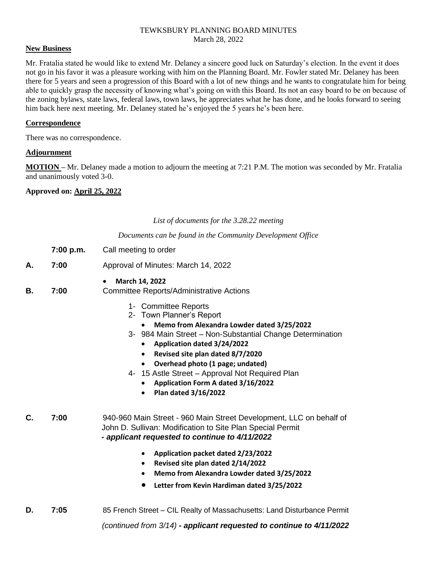### **New Business**

Mr. Fratalia stated he would like to extend Mr. Delaney a sincere good luck on Saturday's election. In the event it does not go in his favor it was a pleasure working with him on the Planning Board. Mr. Fowler stated Mr. Delaney has been there for 5 years and seen a progression of this Board with a lot of new things and he wants to congratulate him for being able to quickly grasp the necessity of knowing what's going on with this Board. Its not an easy board to be on because of the zoning bylaws, state laws, federal laws, town laws, he appreciates what he has done, and he looks forward to seeing him back here next meeting. Mr. Delaney stated he's enjoyed the 5 years he's been here.

#### **Correspondence**

There was no correspondence.

#### **Adjournment**

**MOTION –** Mr. Delaney made a motion to adjourn the meeting at 7:21 P.M. The motion was seconded by Mr. Fratalia and unanimously voted 3-0.

### **Approved on: April 25, 2022**

*List of documents for the 3.28.22 meeting*

*Documents can be found in the Community Development Office*

| 7:00 p.m. | Call meeting to order |
|-----------|-----------------------|
|-----------|-----------------------|

- **A. 7:00** Approval of Minutes: March 14, 2022
- **March 14, 2022**

**B. 7:00** Committee Reports/Administrative Actions

- 1- Committee Reports
- 2- Town Planner's Report
	- **Memo from Alexandra Lowder dated 3/25/2022**
- 3- 984 Main Street Non-Substantial Change Determination
	- **Application dated 3/24/2022**
	- **Revised site plan dated 8/7/2020**
	- **Overhead photo (1 page; undated)**
- 4- 15 Astle Street Approval Not Required Plan
	- **Application Form A dated 3/16/2022**
	- **Plan dated 3/16/2022**

**C. 7:00** 940-960 Main Street - 960 Main Street Development, LLC on behalf of John D. Sullivan: Modification to Site Plan Special Permit  *- applicant requested to continue to 4/11/2022*

- **Application packet dated 2/23/2022**
- **Revised site plan dated 2/14/2022**
- **Memo from Alexandra Lowder dated 3/25/2022**
- **Letter from Kevin Hardiman dated 3/25/2022**

**D. 7:05** 85 French Street – CIL Realty of Massachusetts: Land Disturbance Permit